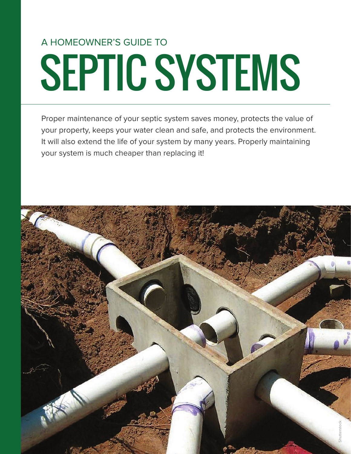# SEPTIC SYSTEMS A HOMEOWNER'S GUIDE TO

Proper maintenance of your septic system saves money, protects the value of your property, keeps your water clean and safe, and protects the environment. It will also extend the life of your system by many years. Properly maintaining your system is much cheaper than replacing it!

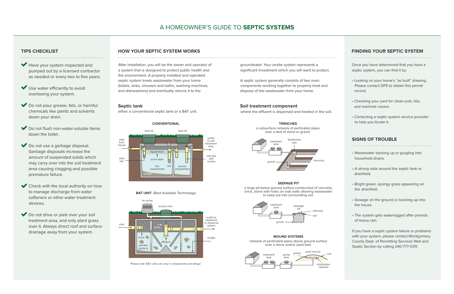# **TIPS CHECKLIST**

- Have your system inspected and pumped out by a licensed contractor as needed or every two to five years.
- $\blacktriangleright$  Use water efficiently to avoid overtaxing your system.
- Do not pour grease, fats, or harmful chemicals like paints and solvents down your drain.
- Do not flush non-water-soluble items down the toilet.
- Do not use a garbage disposal. Garbage disposals increase the amount of suspended solids which may carry over into the soil treatment area causing clogging and possible premature failure.
- Check with the local authority on how to manage discharge from water softeners or other water treatment devices.
- ◆ Do not drive or park over your soil treatment area, and only plant grass over it. Always direct roof and surface drainage away from your system.

# **HOW YOUR SEPTIC SYSTEM WORKS**

### **Septic tank Soil treatment component**

where the effluent is dispersed and treated in the soil.

After installation, you will be the owner and operator of a system that is designed to protect public health and the environment. A properly installed and operated septic system treats wastewater from your home (toilets, sinks, showers and baths, washing machines, and dishwashers) and eventually returns it to the

groundwater. Your onsite system represents a significant investment which you will want to protect.

A septic system generally consists of two main components working together to properly treat and dispose of the wastewater from your home.

# **FINDING YOUR SEPTIC SYSTEM**

Once you have determined that you have a septic system, you can find it by:

- Looking on your home's "as built" drawing. Please contact DPS to obtain this permit record.
- Checking your yard for clean-outs, lids, and manhole covers.
- Contacting a septic system service provider to help you locate it.

# **SIGNS OF TROUBLE**

- Wastewater backing up or gurgling into household drains.
- A strong odor around the septic tank or drainfield.
- Bright green, spongy grass appearing on the drainfield.
- Sewage on the ground or backing up into the house.
- The system gets waterlogged after periods of heavy rain.

If you have a septic system failure or problems with your system, please contact Montgomery County Dept. of Permitting Services Well and Septic Section by calling 240-777-0311.

either a conventional septic tank or a BAT unit.

**TRENCHES** a subsurface network of perforated pipes over a bed of stone or gravel.

#### **SEEPAGE PIT**

a large pit below ground surface constructed of concrete, brick, stone with holes on side walls allowing wastewater to seep out into surrounding soil.



**MOUND SYSTEMS** network of perforated pipes above ground surface over a stone and/or sand bed.



### **BAT UNIT** (Best Available Technology)





#### **CONVENTIONAL**



Please note: BAT units can vary in components and design